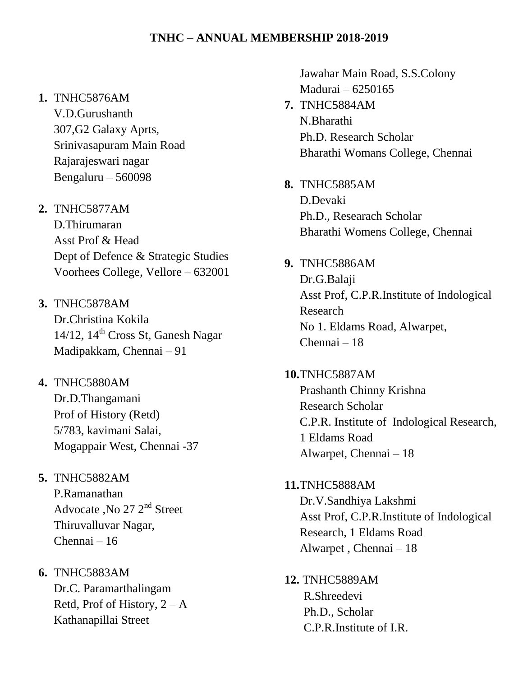## **1.** TNHC5876AM

V.D.Gurushanth 307,G2 Galaxy Aprts, Srinivasapuram Main Road Rajarajeswari nagar Bengaluru – 560098

- **2.** TNHC5877AM D.Thirumaran Asst Prof & Head Dept of Defence & Strategic Studies Voorhees College, Vellore – 632001
- **3.** TNHC5878AM Dr.Christina Kokila  $14/12$ ,  $14<sup>th</sup>$  Cross St, Ganesh Nagar Madipakkam, Chennai – 91
- **4.** TNHC5880AM Dr.D.Thangamani Prof of History (Retd) 5/783, kavimani Salai, Mogappair West, Chennai -37
- **5.** TNHC5882AM P.Ramanathan Advocate , No  $27$   $2<sup>nd</sup>$  Street

Thiruvalluvar Nagar, Chennai – 16

**6.** TNHC5883AM Dr.C. Paramarthalingam Retd, Prof of History,  $2 - A$ Kathanapillai Street

Jawahar Main Road, S.S.Colony Madurai – 6250165

- **7.** TNHC5884AM N.Bharathi Ph.D. Research Scholar Bharathi Womans College, Chennai
- **8.** TNHC5885AM D.Devaki Ph.D., Researach Scholar Bharathi Womens College, Chennai
- **9.** TNHC5886AM Dr.G.Balaji Asst Prof, C.P.R.Institute of Indological Research No 1. Eldams Road, Alwarpet, Chennai – 18

**10.**TNHC5887AM Prashanth Chinny Krishna Research Scholar C.P.R. Institute of Indological Research, 1 Eldams Road Alwarpet, Chennai – 18

**11.**TNHC5888AM Dr.V.Sandhiya Lakshmi Asst Prof, C.P.R.Institute of Indological Research, 1 Eldams Road Alwarpet , Chennai – 18

**12.** TNHC5889AM R.Shreedevi Ph.D., Scholar C.P.R.Institute of I.R.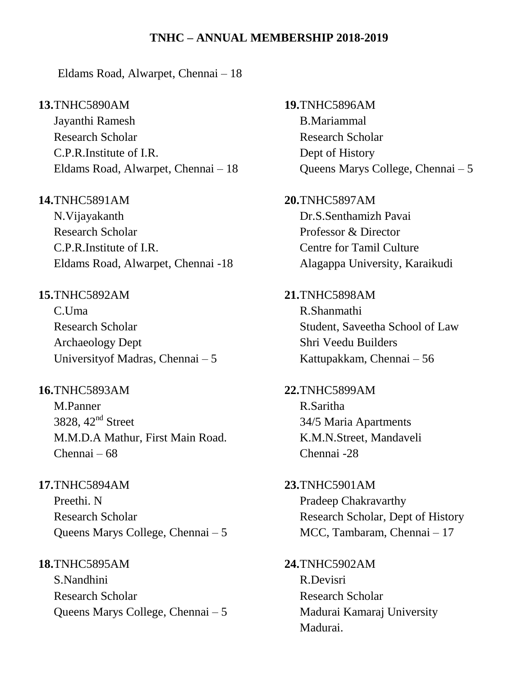Eldams Road, Alwarpet, Chennai – 18

#### **13.**TNHC5890AM

Jayanthi Ramesh Research Scholar C.P.R.Institute of I.R. Eldams Road, Alwarpet, Chennai – 18

### **14.**TNHC5891AM

N.Vijayakanth Research Scholar C.P.R.Institute of I.R. Eldams Road, Alwarpet, Chennai -18

## **15.**TNHC5892AM

C.Uma Research Scholar Archaeology Dept Universityof Madras, Chennai – 5

### **16.**TNHC5893AM

M.Panner 3828, 42nd Street M.M.D.A Mathur, First Main Road. Chennai – 68

## **17.**TNHC5894AM

Preethi. N Research Scholar Queens Marys College, Chennai – 5

#### **18.**TNHC5895AM

S.Nandhini Research Scholar Queens Marys College, Chennai – 5 **19.**TNHC5896AM B.Mariammal Research Scholar Dept of History Queens Marys College, Chennai – 5 **20.**TNHC5897AM Dr.S.Senthamizh Pavai Professor & Director Centre for Tamil Culture Alagappa University, Karaikudi **21.**TNHC5898AM R.Shanmathi Student, Saveetha School of Law Shri Veedu Builders Kattupakkam, Chennai – 56 **22.**TNHC5899AM R.Saritha 34/5 Maria Apartments K.M.N.Street, Mandaveli Chennai -28 **23.**TNHC5901AM Pradeep Chakravarthy Research Scholar, Dept of History MCC, Tambaram, Chennai – 17 **24.**TNHC5902AM R.Devisri Research Scholar Madurai Kamaraj University Madurai.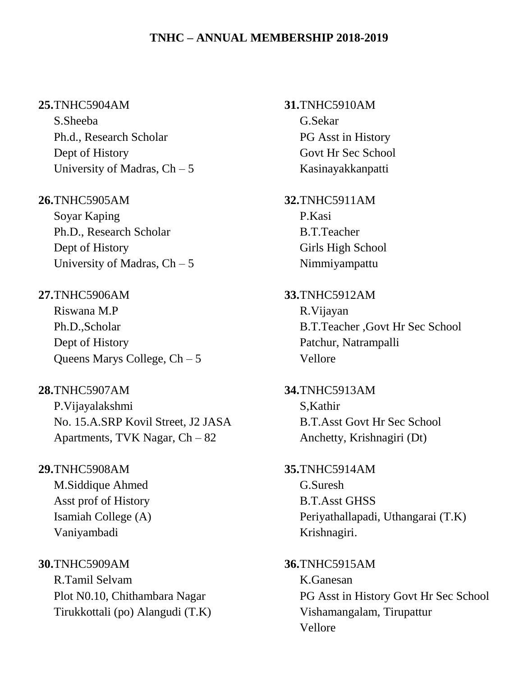#### **25.**TNHC5904AM

S.Sheeba Ph.d., Research Scholar Dept of History University of Madras,  $Ch - 5$ 

**26.**TNHC5905AM

Soyar Kaping Ph.D., Research Scholar Dept of History University of Madras,  $Ch - 5$ 

**27.**TNHC5906AM Riswana M.P Ph.D.,Scholar Dept of History Queens Marys College, Ch – 5

**28.**TNHC5907AM P.Vijayalakshmi No. 15.A.SRP Kovil Street, J2 JASA Apartments, TVK Nagar, Ch – 82

**29.**TNHC5908AM M.Siddique Ahmed Asst prof of History Isamiah College (A) Vaniyambadi

**30.**TNHC5909AM R.Tamil Selvam Plot N0.10, Chithambara Nagar Tirukkottali (po) Alangudi (T.K) **31.**TNHC5910AM G.Sekar PG Asst in History Govt Hr Sec School Kasinayakkanpatti

**32.**TNHC5911AM P.Kasi B.T.Teacher Girls High School Nimmiyampattu

**33.**TNHC5912AM R.Vijayan B.T.Teacher ,Govt Hr Sec School Patchur, Natrampalli Vellore

**34.**TNHC5913AM S,Kathir B.T.Asst Govt Hr Sec School Anchetty, Krishnagiri (Dt)

- **35.**TNHC5914AM G.Suresh B.T.Asst GHSS Periyathallapadi, Uthangarai (T.K) Krishnagiri.
- **36.**TNHC5915AM K.Ganesan PG Asst in History Govt Hr Sec School Vishamangalam, Tirupattur Vellore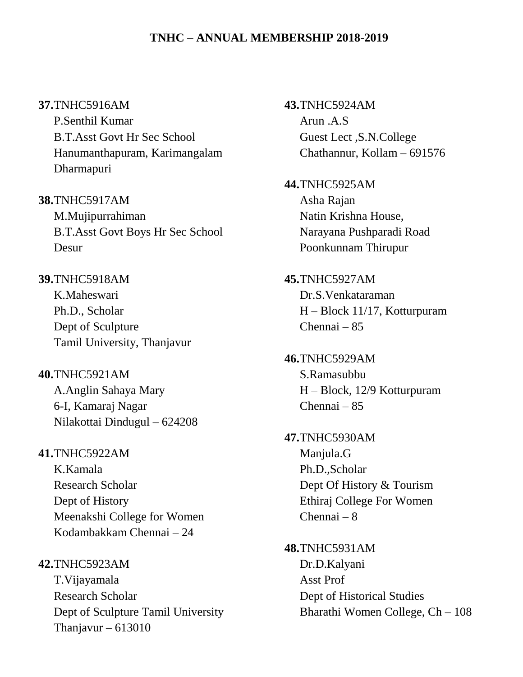#### **37.**TNHC5916AM

P.Senthil Kumar B.T.Asst Govt Hr Sec School Hanumanthapuram, Karimangalam Dharmapuri

**38.**TNHC5917AM M.Mujipurrahiman B.T.Asst Govt Boys Hr Sec School Desur

**39.**TNHC5918AM K.Maheswari Ph.D., Scholar Dept of Sculpture Tamil University, Thanjavur

**40.**TNHC5921AM A.Anglin Sahaya Mary 6-I, Kamaraj Nagar Nilakottai Dindugul – 624208

**41.**TNHC5922AM K.Kamala Research Scholar Dept of History Meenakshi College for Women Kodambakkam Chennai – 24

**42.**TNHC5923AM T.Vijayamala Research Scholar Dept of Sculpture Tamil University Thanjavur – 613010

**43.**TNHC5924AM Arun .A.S Guest Lect ,S.N.College Chathannur, Kollam – 691576

**44.**TNHC5925AM Asha Rajan Natin Krishna House, Narayana Pushparadi Road Poonkunnam Thirupur

**45.**TNHC5927AM Dr.S.Venkataraman H – Block 11/17, Kotturpuram Chennai – 85

**46.**TNHC5929AM S.Ramasubbu H – Block, 12/9 Kotturpuram Chennai – 85

**47.**TNHC5930AM Manjula.G Ph.D.,Scholar Dept Of History & Tourism Ethiraj College For Women Chennai – 8

**48.**TNHC5931AM Dr.D.Kalyani Asst Prof Dept of Historical Studies Bharathi Women College, Ch – 108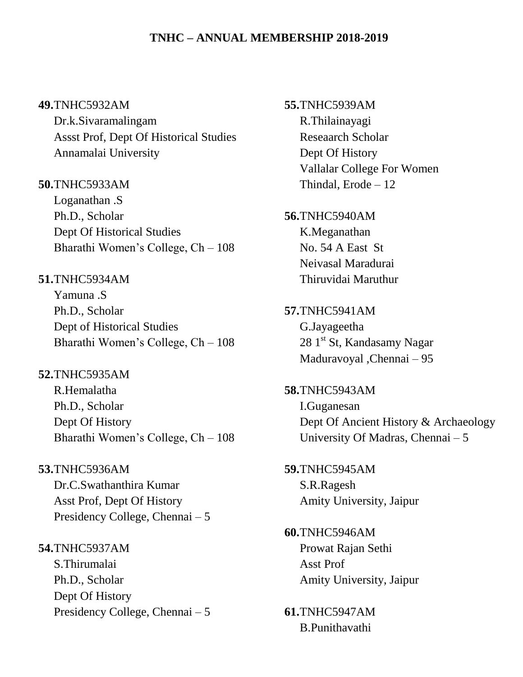#### **49.**TNHC5932AM

Dr.k.Sivaramalingam Assst Prof, Dept Of Historical Studies Annamalai University

## **50.**TNHC5933AM

Loganathan .S Ph.D., Scholar Dept Of Historical Studies Bharathi Women's College, Ch – 108

## **51.**TNHC5934AM

Yamuna .S Ph.D., Scholar Dept of Historical Studies Bharathi Women's College, Ch – 108

## **52.**TNHC5935AM

R.Hemalatha Ph.D., Scholar Dept Of History Bharathi Women's College, Ch – 108

## **53.**TNHC5936AM

Dr.C.Swathanthira Kumar Asst Prof, Dept Of History Presidency College, Chennai – 5

#### **54.**TNHC5937AM

S.Thirumalai Ph.D., Scholar Dept Of History Presidency College, Chennai – 5 **55.**TNHC5939AM R.Thilainayagi Reseaarch Scholar Dept Of History Vallalar College For Women Thindal, Erode – 12

## **56.**TNHC5940AM K.Meganathan No. 54 A East St Neivasal Maradurai

Thiruvidai Maruthur **57.**TNHC5941AM G.Jayageetha 28 1<sup>st</sup> St, Kandasamy Nagar Maduravoyal ,Chennai – 95

**58.**TNHC5943AM I.Guganesan Dept Of Ancient History & Archaeology University Of Madras, Chennai – 5

**59.**TNHC5945AM S.R.Ragesh Amity University, Jaipur

## **60.**TNHC5946AM Prowat Rajan Sethi Asst Prof Amity University, Jaipur

**61.**TNHC5947AM B.Punithavathi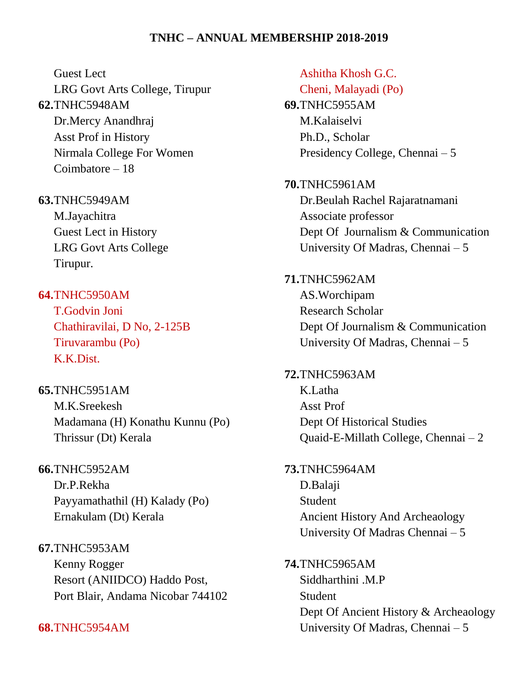Guest Lect

LRG Govt Arts College, Tirupur **62.**TNHC5948AM Dr.Mercy Anandhraj Asst Prof in History Nirmala College For Women Coimbatore – 18

**63.**TNHC5949AM

M.Jayachitra Guest Lect in History LRG Govt Arts College Tirupur.

**64.**TNHC5950AM T.Godvin Joni Chathiravilai, D No, 2-125B Tiruvarambu (Po) K.K.Dist.

**65.**TNHC5951AM M.K.Sreekesh Madamana (H) Konathu Kunnu (Po) Thrissur (Dt) Kerala

**66.**TNHC5952AM Dr.P.Rekha Payyamathathil (H) Kalady (Po) Ernakulam (Dt) Kerala

**67.**TNHC5953AM Kenny Rogger Resort (ANIIDCO) Haddo Post, Port Blair, Andama Nicobar 744102

**68.**TNHC5954AM

Ashitha Khosh G.C. Cheni, Malayadi (Po) **69.**TNHC5955AM M.Kalaiselvi Ph.D., Scholar Presidency College, Chennai – 5

**70.**TNHC5961AM Dr.Beulah Rachel Rajaratnamani Associate professor Dept Of Journalism & Communication University Of Madras, Chennai – 5

**71.**TNHC5962AM AS.Worchipam Research Scholar Dept Of Journalism & Communication University Of Madras, Chennai – 5

**72.**TNHC5963AM K.Latha Asst Prof Dept Of Historical Studies Quaid-E-Millath College, Chennai – 2

**73.**TNHC5964AM D.Balaji **Student** Ancient History And Archeaology University Of Madras Chennai – 5

**74.**TNHC5965AM Siddharthini MP **Student** Dept Of Ancient History & Archeaology University Of Madras, Chennai – 5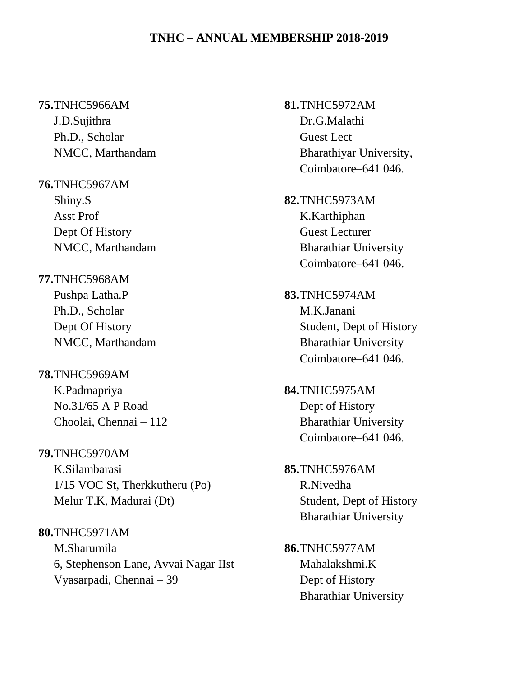#### **75.**TNHC5966AM

J.D.Sujithra Ph.D., Scholar NMCC, Marthandam

## **76.**TNHC5967AM Shiny.S Asst Prof Dept Of History NMCC, Marthandam

**77.**TNHC5968AM Pushpa Latha.P Ph.D., Scholar Dept Of History NMCC, Marthandam

## **78.**TNHC5969AM K.Padmapriya No.31/65 A P Road Choolai, Chennai – 112

**79.**TNHC5970AM K.Silambarasi 1/15 VOC St, Therkkutheru (Po) Melur T.K, Madurai (Dt)

**80.**TNHC5971AM M.Sharumila 6, Stephenson Lane, Avvai Nagar IIst Vyasarpadi, Chennai – 39

**81.**TNHC5972AM Dr.G.Malathi Guest Lect Bharathiyar University, Coimbatore–641 046.

- **82.**TNHC5973AM K.Karthiphan Guest Lecturer Bharathiar University Coimbatore–641 046.
- **83.**TNHC5974AM M.K.Janani Student, Dept of History Bharathiar University Coimbatore–641 046.
- **84.**TNHC5975AM Dept of History Bharathiar University Coimbatore–641 046.
- **85.**TNHC5976AM R.Nivedha Student, Dept of History Bharathiar University
- **86.**TNHC5977AM Mahalakshmi.K Dept of History Bharathiar University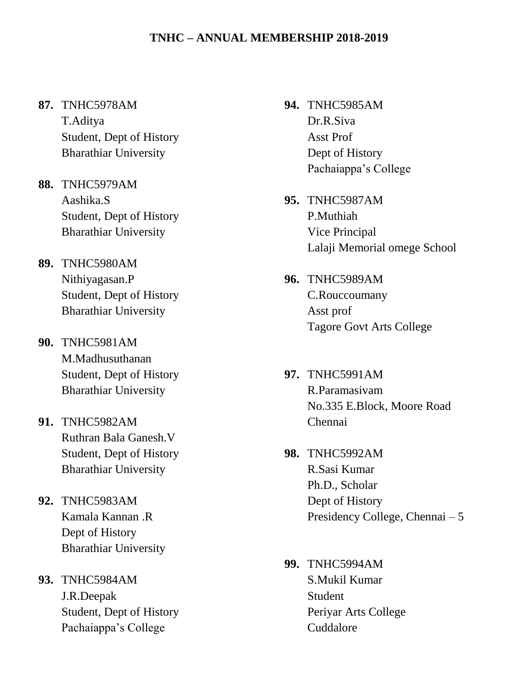## **87.** TNHC5978AM

T.Aditya Student, Dept of History Bharathiar University

- **88.** TNHC5979AM Aashika.S Student, Dept of History Bharathiar University
- **89.** TNHC5980AM Nithiyagasan.P Student, Dept of History Bharathiar University
- **90.** TNHC5981AM M.Madhusuthanan Student, Dept of History Bharathiar University
- **91.** TNHC5982AM Ruthran Bala Ganesh.V Student, Dept of History Bharathiar University
- **92.** TNHC5983AM Kamala Kannan .R Dept of History Bharathiar University
- **93.** TNHC5984AM J.R.Deepak Student, Dept of History Pachaiappa's College
- **94.** TNHC5985AM Dr.R.Siva Asst Prof Dept of History Pachaiappa's College
- **95.** TNHC5987AM P.Muthiah Vice Principal Lalaji Memorial omege School
- **96.** TNHC5989AM C.Rouccoumany Asst prof Tagore Govt Arts College
- **97.** TNHC5991AM R.Paramasivam No.335 E.Block, Moore Road Chennai
- **98.** TNHC5992AM R.Sasi Kumar Ph.D., Scholar Dept of History Presidency College, Chennai – 5
- **99.** TNHC5994AM S.Mukil Kumar Student Periyar Arts College Cuddalore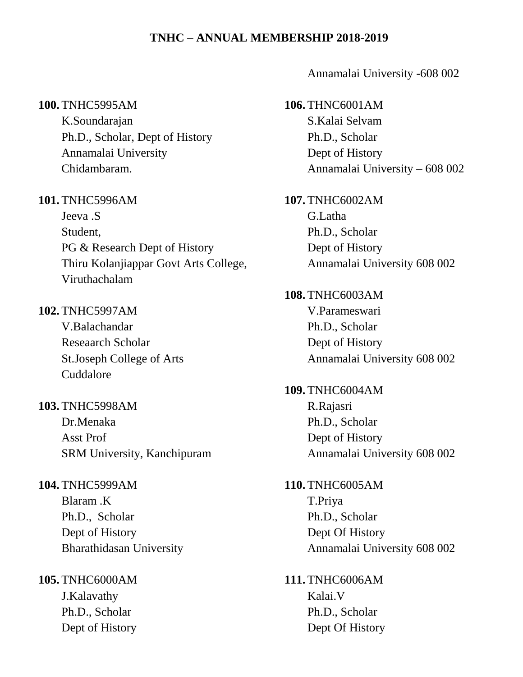#### **100.** TNHC5995AM

K.Soundarajan Ph.D., Scholar, Dept of History Annamalai University Chidambaram.

#### **101.** TNHC5996AM

Jeeva .S Student, PG & Research Dept of History Thiru Kolanjiappar Govt Arts College, Viruthachalam

## **102.** TNHC5997AM

V.Balachandar Reseaarch Scholar St.Joseph College of Arts Cuddalore

## **103.** TNHC5998AM Dr.Menaka

Asst Prof SRM University, Kanchipuram

**104.** TNHC5999AM Blaram .K Ph.D., Scholar Dept of History Bharathidasan University

**105.** TNHC6000AM J.Kalavathy Ph.D., Scholar Dept of History

#### Annamalai University -608 002

- **106.** THNC6001AM S.Kalai Selvam Ph.D., Scholar Dept of History Annamalai University – 608 002
- **107.** TNHC6002AM G.Latha Ph.D., Scholar Dept of History Annamalai University 608 002

**108.** TNHC6003AM V.Parameswari Ph.D., Scholar Dept of History Annamalai University 608 002

**109.** TNHC6004AM R.Rajasri Ph.D., Scholar Dept of History Annamalai University 608 002

**110.** TNHC6005AM T.Priya Ph.D., Scholar Dept Of History Annamalai University 608 002

**111.** TNHC6006AM Kalai.V Ph.D., Scholar Dept Of History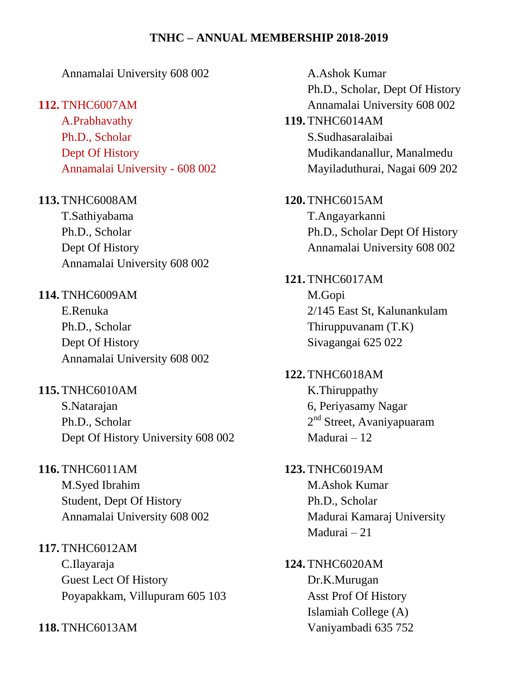## Annamalai University 608 002

#### **112.** TNHC6007AM

A.Prabhavathy Ph.D., Scholar Dept Of History Annamalai University - 608 002

## **113.** TNHC6008AM

T.Sathiyabama Ph.D., Scholar Dept Of History Annamalai University 608 002

### **114.** TNHC6009AM

E.Renuka Ph.D., Scholar Dept Of History Annamalai University 608 002

# **115.** TNHC6010AM

S.Natarajan Ph.D., Scholar Dept Of History University 608 002

## **116.** TNHC6011AM

M.Syed Ibrahim Student, Dept Of History Annamalai University 608 002

#### **117.** TNHC6012AM

C.Ilayaraja Guest Lect Of History Poyapakkam, Villupuram 605 103

**118.** TNHC6013AM

A.Ashok Kumar Ph.D., Scholar, Dept Of History Annamalai University 608 002 **119.** TNHC6014AM S.Sudhasaralaibai Mudikandanallur, Manalmedu Mayiladuthurai, Nagai 609 202 **120.** TNHC6015AM T.Angayarkanni Ph.D., Scholar Dept Of History Annamalai University 608 002 **121.** TNHC6017AM M.Gopi 2/145 East St, Kalunankulam Thiruppuvanam (T.K) Sivagangai 625 022 **122.** TNHC6018AM K.Thiruppathy 6, Periyasamy Nagar 2<sup>nd</sup> Street, Avaniyapuaram Madurai – 12 **123.** TNHC6019AM M.Ashok Kumar Ph.D., Scholar Madurai Kamaraj University Madurai – 21

## **124.** TNHC6020AM Dr.K.Murugan Asst Prof Of History Islamiah College (A) Vaniyambadi 635 752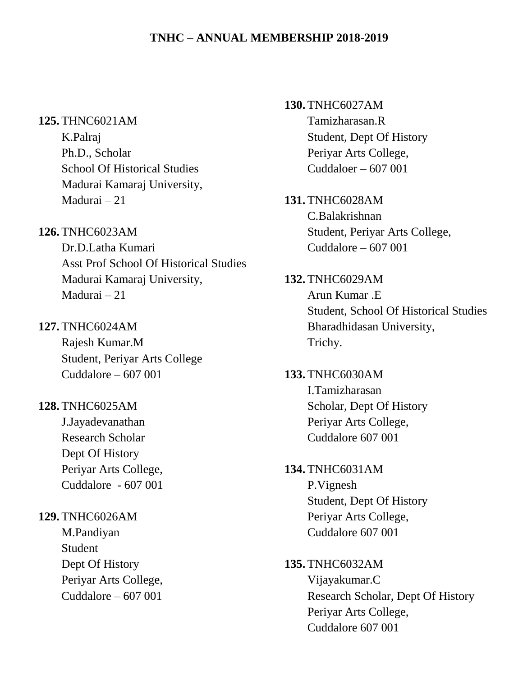#### **125.** THNC6021AM

K.Palraj Ph.D., Scholar School Of Historical Studies Madurai Kamaraj University, Madurai – 21

### **126.** TNHC6023AM

Dr.D.Latha Kumari Asst Prof School Of Historical Studies Madurai Kamaraj University, Madurai – 21

#### **127.** TNHC6024AM

Rajesh Kumar.M Student, Periyar Arts College Cuddalore  $-607001$ 

### **128.** TNHC6025AM

J.Jayadevanathan Research Scholar Dept Of History Periyar Arts College, Cuddalore - 607 001

#### **129.** TNHC6026AM

M.Pandiyan Student Dept Of History Periyar Arts College, Cuddalore  $-607001$ 

**130.** TNHC6027AM Tamizharasan.R Student, Dept Of History Periyar Arts College, Cuddaloer – 607 001

#### **131.** TNHC6028AM

C.Balakrishnan Student, Periyar Arts College, Cuddalore – 607 001

## **132.** TNHC6029AM

Arun Kumar .E Student, School Of Historical Studies Bharadhidasan University, Trichy.

## **133.** TNHC6030AM I.Tamizharasan Scholar, Dept Of History Periyar Arts College, Cuddalore 607 001

## **134.** TNHC6031AM

P.Vignesh Student, Dept Of History Periyar Arts College, Cuddalore 607 001

#### **135.** TNHC6032AM

Vijayakumar.C Research Scholar, Dept Of History Periyar Arts College, Cuddalore 607 001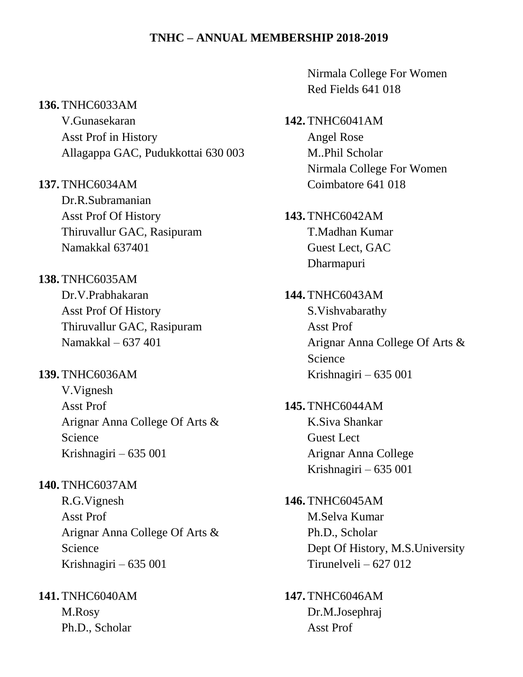#### **136.** TNHC6033AM

V.Gunasekaran Asst Prof in History Allagappa GAC, Pudukkottai 630 003

- **137.** TNHC6034AM Dr.R.Subramanian Asst Prof Of History Thiruvallur GAC, Rasipuram Namakkal 637401
- **138.** TNHC6035AM Dr.V.Prabhakaran Asst Prof Of History Thiruvallur GAC, Rasipuram Namakkal – 637 401

# **139.** TNHC6036AM V.Vignesh

Asst Prof Arignar Anna College Of Arts & Science Krishnagiri – 635 001

**140.** TNHC6037AM

R.G.Vignesh Asst Prof Arignar Anna College Of Arts & Science Krishnagiri – 635 001

**141.** TNHC6040AM M.Rosy Ph.D., Scholar

Nirmala College For Women Red Fields 641 018

- **142.** TNHC6041AM Angel Rose M..Phil Scholar Nirmala College For Women Coimbatore 641 018
- **143.** TNHC6042AM T.Madhan Kumar Guest Lect, GAC Dharmapuri
- **144.** TNHC6043AM S.Vishvabarathy Asst Prof Arignar Anna College Of Arts & Science Krishnagiri – 635 001

**145.** TNHC6044AM K.Siva Shankar Guest Lect Arignar Anna College Krishnagiri – 635 001

**146.** TNHC6045AM M.Selva Kumar Ph.D., Scholar Dept Of History, M.S.University Tirunelveli – 627 012

**147.** TNHC6046AM Dr.M.Josephraj Asst Prof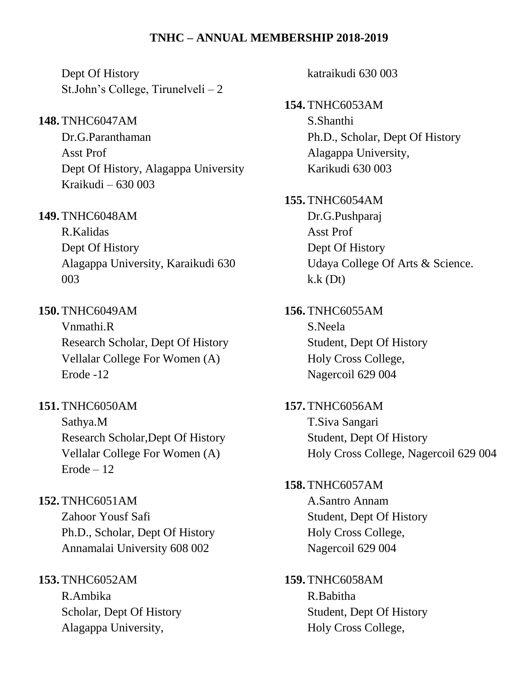Dept Of History St.John's College, Tirunelveli – 2

## **148.** TNHC6047AM

Dr.G.Paranthaman Asst Prof Dept Of History, Alagappa University Kraikudi – 630 003

## **149.** TNHC6048AM

R.Kalidas Dept Of History Alagappa University, Karaikudi 630 003

## **150.** TNHC6049AM

Vnmathi.R Research Scholar, Dept Of History Vellalar College For Women (A) Erode -12

## **151.** TNHC6050AM

Sathya.M Research Scholar,Dept Of History Vellalar College For Women (A)  $Erode - 12$ 

## **152.** TNHC6051AM

Zahoor Yousf Safi Ph.D., Scholar, Dept Of History Annamalai University 608 002

## **153.** TNHC6052AM

R.Ambika Scholar, Dept Of History Alagappa University,

katraikudi 630 003

**154.** TNHC6053AM S.Shanthi Ph.D., Scholar, Dept Of History Alagappa University, Karikudi 630 003

**155.** TNHC6054AM Dr.G.Pushparaj Asst Prof Dept Of History Udaya College Of Arts & Science.  $k.k$  (Dt)

**156.** TNHC6055AM S.Neela Student, Dept Of History Holy Cross College, Nagercoil 629 004

**157.** TNHC6056AM T.Siva Sangari Student, Dept Of History Holy Cross College, Nagercoil 629 004

### **158.** TNHC6057AM

A.Santro Annam Student, Dept Of History Holy Cross College, Nagercoil 629 004

**159.** TNHC6058AM R.Babitha Student, Dept Of History Holy Cross College,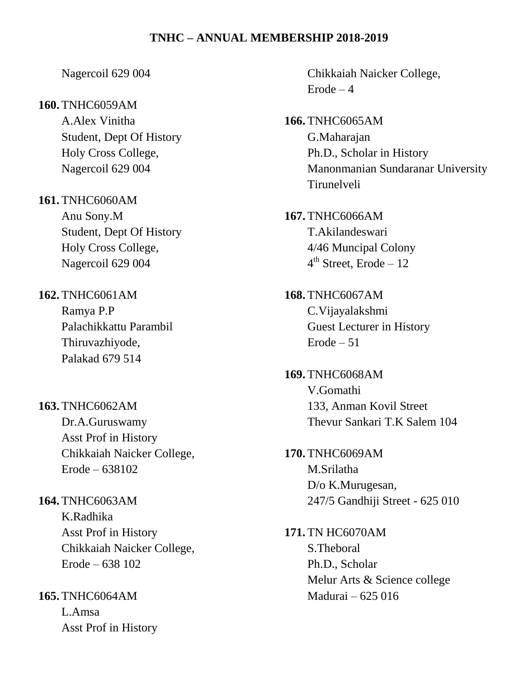#### Nagercoil 629 004

#### **160.** TNHC6059AM

A.Alex Vinitha Student, Dept Of History Holy Cross College, Nagercoil 629 004

**161.** TNHC6060AM Anu Sony.M Student, Dept Of History Holy Cross College,

Nagercoil 629 004

**162.** TNHC6061AM

Ramya P.P Palachikkattu Parambil Thiruvazhiyode, Palakad 679 514

**163.** TNHC6062AM Dr.A.Guruswamy Asst Prof in History Chikkaiah Naicker College, Erode – 638102

**164.** TNHC6063AM K.Radhika Asst Prof in History Chikkaiah Naicker College, Erode – 638 102

**165.** TNHC6064AM L.Amsa Asst Prof in History Chikkaiah Naicker College,  $Erode - 4$ 

- **166.** TNHC6065AM G.Maharajan Ph.D., Scholar in History Manonmanian Sundaranar University Tirunelveli
- **167.** TNHC6066AM T.Akilandeswari 4/46 Muncipal Colony 4<sup>th</sup> Street, Erode – 12
- **168.** TNHC6067AM C.Vijayalakshmi Guest Lecturer in History  $Erode - 51$

**169.** TNHC6068AM V.Gomathi 133, Anman Kovil Street Thevur Sankari T.K Salem 104

**170.** TNHC6069AM M.Srilatha D/o K.Murugesan, 247/5 Gandhiji Street - 625 010

**171.** TN HC6070AM S.Theboral Ph.D., Scholar Melur Arts & Science college Madurai – 625 016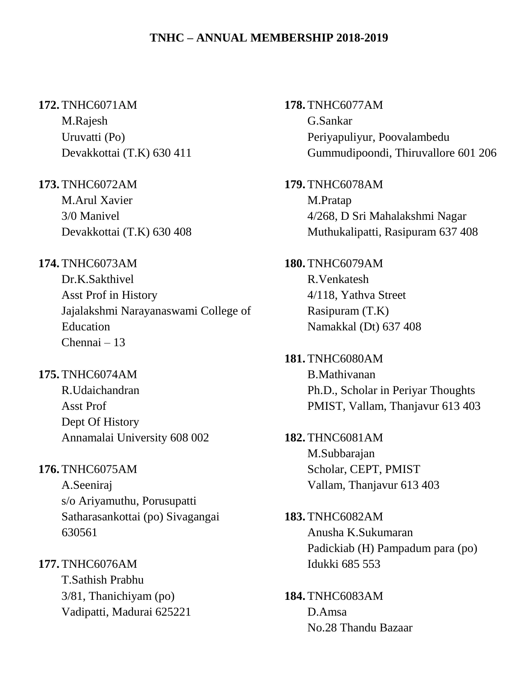#### **172.** TNHC6071AM

M.Rajesh Uruvatti (Po) Devakkottai (T.K) 630 411

**173.** TNHC6072AM

M.Arul Xavier 3/0 Manivel Devakkottai (T.K) 630 408

## **174.** TNHC6073AM

Dr.K.Sakthivel Asst Prof in History Jajalakshmi Narayanaswami College of Education Chennai – 13

## **175.** TNHC6074AM

R.Udaichandran Asst Prof Dept Of History Annamalai University 608 002

## **176.** TNHC6075AM

A.Seeniraj s/o Ariyamuthu, Porusupatti Satharasankottai (po) Sivagangai 630561

**177.** TNHC6076AM

T.Sathish Prabhu 3/81, Thanichiyam (po) Vadipatti, Madurai 625221 **178.** TNHC6077AM G.Sankar Periyapuliyur, Poovalambedu Gummudipoondi, Thiruvallore 601 206

**179.** TNHC6078AM M.Pratap 4/268, D Sri Mahalakshmi Nagar Muthukalipatti, Rasipuram 637 408

**180.** TNHC6079AM R.Venkatesh 4/118, Yathva Street Rasipuram (T.K) Namakkal (Dt) 637 408

**181.** TNHC6080AM B.Mathivanan Ph.D., Scholar in Periyar Thoughts PMIST, Vallam, Thanjavur 613 403

**182.** THNC6081AM M.Subbarajan Scholar, CEPT, PMIST Vallam, Thanjavur 613 403

**183.** TNHC6082AM Anusha K.Sukumaran Padickiab (H) Pampadum para (po) Idukki 685 553

**184.** TNHC6083AM D.Amsa No.28 Thandu Bazaar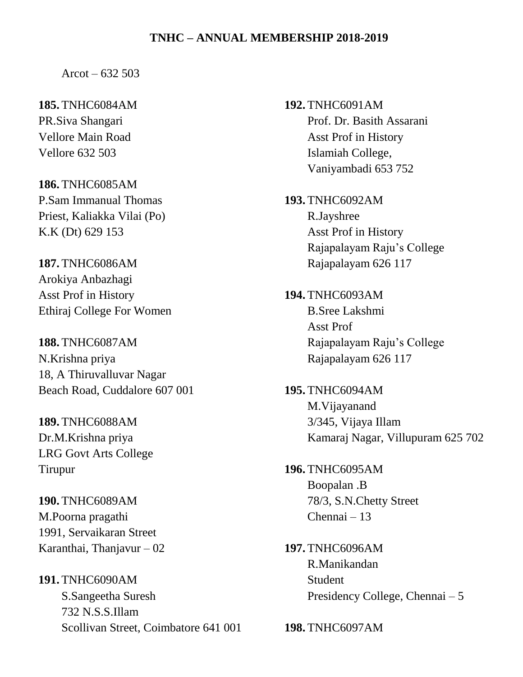Arcot –  $632,503$ 

**185.** TNHC6084AM PR.Siva Shangari Vellore Main Road Vellore 632 503

**186.** TNHC6085AM P.Sam Immanual Thomas Priest, Kaliakka Vilai (Po) K.K (Dt) 629 153

**187.** TNHC6086AM Arokiya Anbazhagi Asst Prof in History Ethiraj College For Women

**188.** TNHC6087AM N.Krishna priya 18, A Thiruvalluvar Nagar Beach Road, Cuddalore 607 001

**189.** TNHC6088AM Dr.M.Krishna priya LRG Govt Arts College Tirupur

**190.** TNHC6089AM M.Poorna pragathi 1991, Servaikaran Street Karanthai, Thanjavur – 02

**191.** TNHC6090AM S.Sangeetha Suresh 732 N.S.S.Illam Scollivan Street, Coimbatore 641 001 **192.** TNHC6091AM Prof. Dr. Basith Assarani Asst Prof in History Islamiah College, Vaniyambadi 653 752

**193.** TNHC6092AM R.Jayshree Asst Prof in History Rajapalayam Raju's College Rajapalayam 626 117

**194.** TNHC6093AM B.Sree Lakshmi Asst Prof Rajapalayam Raju's College Rajapalayam 626 117

**195.** TNHC6094AM M.Vijayanand 3/345, Vijaya Illam Kamaraj Nagar, Villupuram 625 702

**196.** TNHC6095AM Boopalan .B 78/3, S.N.Chetty Street Chennai – 13

**197.** TNHC6096AM R.Manikandan Student Presidency College, Chennai – 5

**198.** TNHC6097AM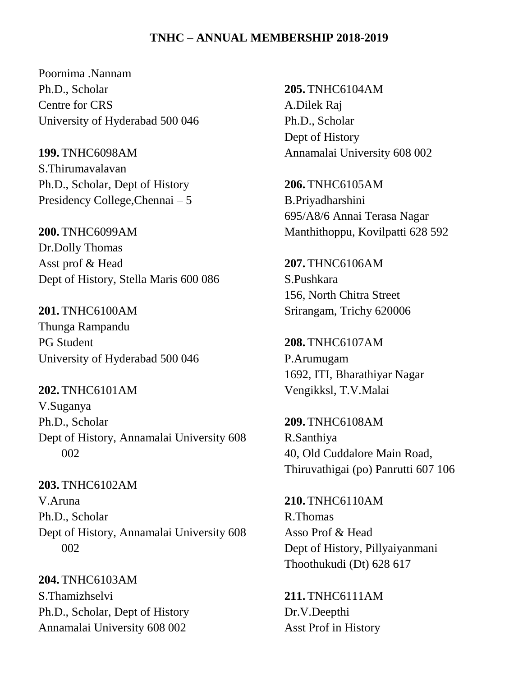Poornima .Nannam Ph.D., Scholar Centre for CRS University of Hyderabad 500 046

**199.** TNHC6098AM S.Thirumavalavan Ph.D., Scholar, Dept of History Presidency College,Chennai – 5

**200.** TNHC6099AM Dr.Dolly Thomas Asst prof & Head Dept of History, Stella Maris 600 086

**201.** TNHC6100AM Thunga Rampandu PG Student University of Hyderabad 500 046

**202.** TNHC6101AM V.Suganya Ph.D., Scholar Dept of History, Annamalai University 608 002

**203.** TNHC6102AM V.Aruna Ph.D., Scholar Dept of History, Annamalai University 608 002

**204.** TNHC6103AM S.Thamizhselvi Ph.D., Scholar, Dept of History Annamalai University 608 002

**205.** TNHC6104AM A.Dilek Raj Ph.D., Scholar Dept of History Annamalai University 608 002

**206.** TNHC6105AM B.Priyadharshini 695/A8/6 Annai Terasa Nagar Manthithoppu, Kovilpatti 628 592

**207.** THNC6106AM S.Pushkara 156, North Chitra Street Srirangam, Trichy 620006

**208.** TNHC6107AM P.Arumugam 1692, ITI, Bharathiyar Nagar Vengikksl, T.V.Malai

**209.** TNHC6108AM R.Santhiya 40, Old Cuddalore Main Road, Thiruvathigai (po) Panrutti 607 106

**210.** TNHC6110AM R.Thomas Asso Prof & Head Dept of History, Pillyaiyanmani Thoothukudi (Dt) 628 617

**211.** TNHC6111AM Dr.V.Deepthi Asst Prof in History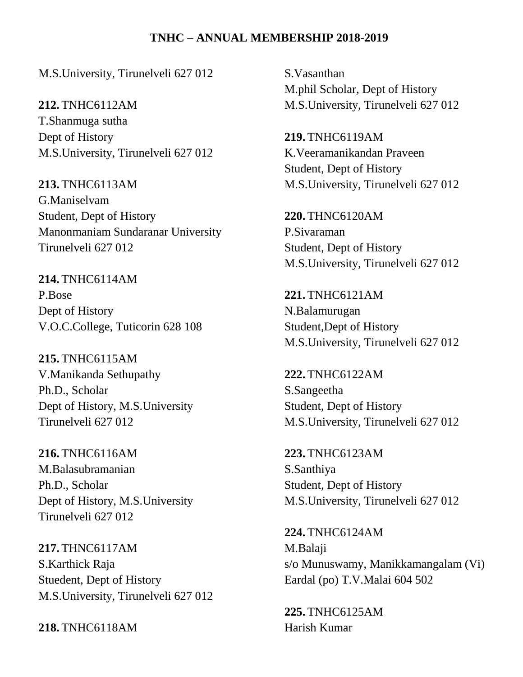M.S.University, Tirunelveli 627 012

**212.** TNHC6112AM T.Shanmuga sutha Dept of History M.S.University, Tirunelveli 627 012

**213.** TNHC6113AM G.Maniselvam Student, Dept of History Manonmaniam Sundaranar University Tirunelveli 627 012

**214.** TNHC6114AM P.Bose Dept of History V.O.C.College, Tuticorin 628 108

**215.** TNHC6115AM V.Manikanda Sethupathy Ph.D., Scholar Dept of History, M.S.University Tirunelveli 627 012

**216.** TNHC6116AM M.Balasubramanian Ph.D., Scholar Dept of History, M.S.University Tirunelveli 627 012

**217.** THNC6117AM S.Karthick Raja Stuedent, Dept of History M.S.University, Tirunelveli 627 012

**218.** TNHC6118AM

S.Vasanthan M.phil Scholar, Dept of History M.S.University, Tirunelveli 627 012

**219.** TNHC6119AM K.Veeramanikandan Praveen Student, Dept of History M.S.University, Tirunelveli 627 012

**220.** THNC6120AM P.Sivaraman Student, Dept of History M.S.University, Tirunelveli 627 012

**221.** TNHC6121AM N.Balamurugan Student,Dept of History M.S.University, Tirunelveli 627 012

**222.** TNHC6122AM S.Sangeetha Student, Dept of History M.S.University, Tirunelveli 627 012

**223.** TNHC6123AM S.Santhiya Student, Dept of History M.S.University, Tirunelveli 627 012

**224.** TNHC6124AM M.Balaji s/o Munuswamy, Manikkamangalam (Vi) Eardal (po) T.V.Malai 604 502

**225.** TNHC6125AM Harish Kumar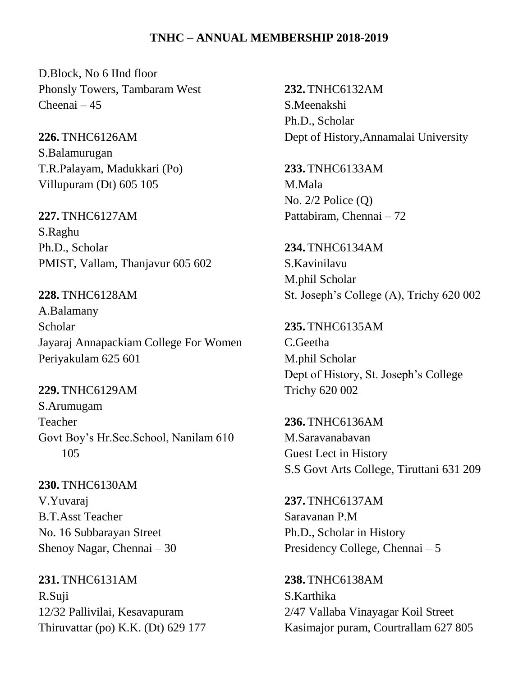D.Block, No 6 IInd floor Phonsly Towers, Tambaram West Cheenai – 45

**226.** TNHC6126AM S.Balamurugan T.R.Palayam, Madukkari (Po) Villupuram (Dt) 605 105

**227.** TNHC6127AM S.Raghu Ph.D., Scholar PMIST, Vallam, Thanjavur 605 602

**228.** TNHC6128AM A.Balamany Scholar Jayaraj Annapackiam College For Women Periyakulam 625 601

**229.** TNHC6129AM S.Arumugam Teacher Govt Boy's Hr.Sec.School, Nanilam 610 105

**230.** TNHC6130AM V.Yuvaraj B.T.Asst Teacher No. 16 Subbarayan Street Shenoy Nagar, Chennai – 30

**231.** TNHC6131AM R.Suji 12/32 Pallivilai, Kesavapuram Thiruvattar (po) K.K. (Dt) 629 177 **232.** TNHC6132AM S.Meenakshi Ph.D., Scholar Dept of History,Annamalai University

**233.** TNHC6133AM M.Mala No. 2/2 Police (Q) Pattabiram, Chennai – 72

**234.** TNHC6134AM S.Kavinilavu M.phil Scholar St. Joseph's College (A), Trichy 620 002

**235.** TNHC6135AM C.Geetha M.phil Scholar Dept of History, St. Joseph's College Trichy 620 002

**236.** TNHC6136AM M.Saravanabavan Guest Lect in History S.S Govt Arts College, Tiruttani 631 209

**237.** TNHC6137AM Saravanan P.M Ph.D., Scholar in History Presidency College, Chennai – 5

**238.** TNHC6138AM S.Karthika 2/47 Vallaba Vinayagar Koil Street Kasimajor puram, Courtrallam 627 805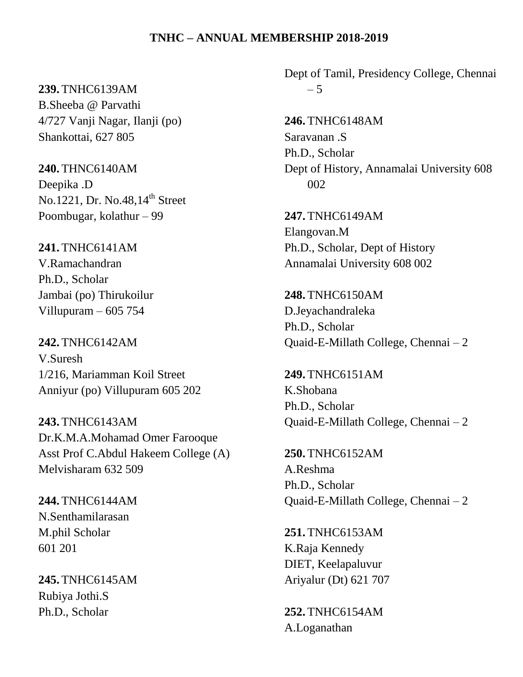#### **239.** TNHC6139AM

B.Sheeba @ Parvathi 4/727 Vanji Nagar, Ilanji (po) Shankottai, 627 805

**240.** THNC6140AM Deepika .D No.1221, Dr. No.48,14<sup>th</sup> Street Poombugar, kolathur – 99

**241.** TNHC6141AM V.Ramachandran Ph.D., Scholar Jambai (po) Thirukoilur Villupuram – 605 754

**242.** TNHC6142AM V.Suresh 1/216, Mariamman Koil Street Anniyur (po) Villupuram 605 202

**243.** TNHC6143AM Dr.K.M.A.Mohamad Omer Farooque Asst Prof C.Abdul Hakeem College (A) Melvisharam 632 509

**244.** TNHC6144AM N.Senthamilarasan M.phil Scholar 601 201

**245.** TNHC6145AM Rubiya Jothi.S Ph.D., Scholar

Dept of Tamil, Presidency College, Chennai – 5

**246.** TNHC6148AM Saravanan .S Ph.D., Scholar Dept of History, Annamalai University 608 002

**247.** TNHC6149AM Elangovan.M Ph.D., Scholar, Dept of History Annamalai University 608 002

**248.** TNHC6150AM D.Jeyachandraleka Ph.D., Scholar Quaid-E-Millath College, Chennai – 2

**249.** TNHC6151AM K.Shobana Ph.D., Scholar Quaid-E-Millath College, Chennai – 2

**250.** TNHC6152AM A.Reshma Ph.D., Scholar Quaid-E-Millath College, Chennai – 2

**251.** TNHC6153AM K.Raja Kennedy DIET, Keelapaluvur Ariyalur (Dt) 621 707

**252.** TNHC6154AM A.Loganathan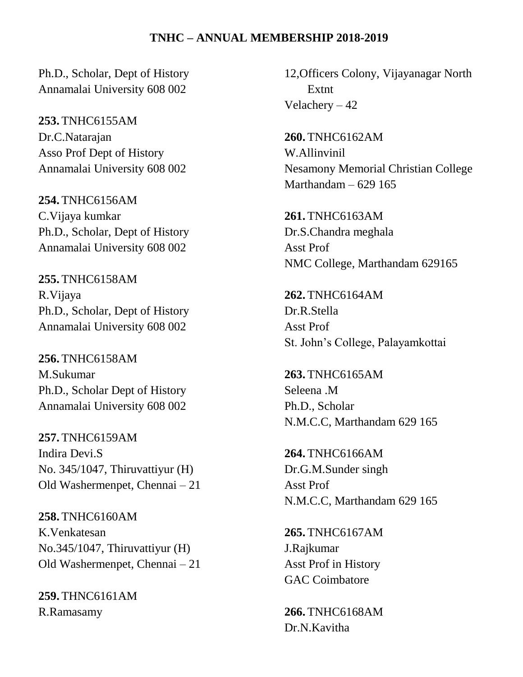Ph.D., Scholar, Dept of History Annamalai University 608 002

**253.** TNHC6155AM Dr.C.Natarajan Asso Prof Dept of History Annamalai University 608 002

**254.** TNHC6156AM C.Vijaya kumkar Ph.D., Scholar, Dept of History Annamalai University 608 002

**255.** TNHC6158AM R.Vijaya Ph.D., Scholar, Dept of History Annamalai University 608 002

**256.** TNHC6158AM M.Sukumar Ph.D., Scholar Dept of History Annamalai University 608 002

**257.** TNHC6159AM Indira Devi.S No. 345/1047, Thiruvattiyur (H) Old Washermenpet, Chennai – 21

**258.** TNHC6160AM K.Venkatesan No.345/1047, Thiruvattiyur (H) Old Washermenpet, Chennai – 21

**259.** THNC6161AM R.Ramasamy

12,Officers Colony, Vijayanagar North Extnt Velachery – 42

**260.** TNHC6162AM W.Allinvinil Nesamony Memorial Christian College Marthandam – 629 165

**261.** TNHC6163AM Dr.S.Chandra meghala Asst Prof NMC College, Marthandam 629165

**262.** TNHC6164AM Dr.R.Stella Asst Prof St. John's College, Palayamkottai

**263.** TNHC6165AM Seleena .M Ph.D., Scholar N.M.C.C, Marthandam 629 165

**264.** TNHC6166AM Dr.G.M.Sunder singh Asst Prof N.M.C.C, Marthandam 629 165

**265.** TNHC6167AM J.Rajkumar Asst Prof in History GAC Coimbatore

**266.** TNHC6168AM Dr.N.Kavitha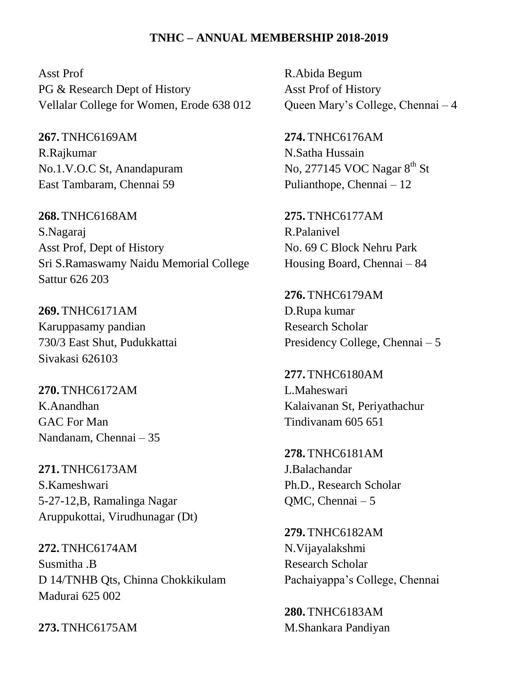Asst Prof PG & Research Dept of History Vellalar College for Women, Erode 638 012

**267.** TNHC6169AM R.Rajkumar No.1.V.O.C St, Anandapuram East Tambaram, Chennai 59

**268.** TNHC6168AM S.Nagaraj Asst Prof, Dept of History Sri S.Ramaswamy Naidu Memorial College Sattur 626 203

**269.** TNHC6171AM Karuppasamy pandian 730/3 East Shut, Pudukkattai Sivakasi 626103

**270.** TNHC6172AM K.Anandhan GAC For Man Nandanam, Chennai – 35

**271.** TNHC6173AM S.Kameshwari 5-27-12,B, Ramalinga Nagar Aruppukottai, Virudhunagar (Dt)

**272.** TNHC6174AM Susmitha .B D 14/TNHB Qts, Chinna Chokkikulam Madurai 625 002

**273.** TNHC6175AM

R.Abida Begum Asst Prof of History Queen Mary's College, Chennai – 4

**274.** TNHC6176AM N.Satha Hussain No, 277145 VOC Nagar 8<sup>th</sup> St Pulianthope, Chennai – 12

**275.** TNHC6177AM R.Palanivel No. 69 C Block Nehru Park Housing Board, Chennai – 84

**276.** TNHC6179AM D.Rupa kumar Research Scholar Presidency College, Chennai – 5

**277.** TNHC6180AM L.Maheswari Kalaivanan St, Periyathachur Tindivanam 605 651

**278.** TNHC6181AM J.Balachandar Ph.D., Research Scholar QMC, Chennai – 5

**279.** TNHC6182AM N.Vijayalakshmi Research Scholar Pachaiyappa's College, Chennai

**280.** TNHC6183AM M.Shankara Pandiyan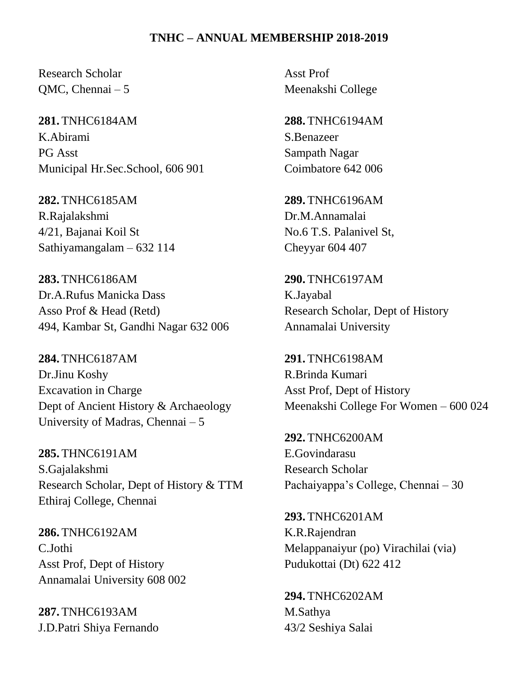Research Scholar QMC, Chennai – 5

**281.** TNHC6184AM K.Abirami PG Asst Municipal Hr.Sec.School, 606 901

**282.** TNHC6185AM R.Rajalakshmi 4/21, Bajanai Koil St Sathiyamangalam – 632 114

**283.** TNHC6186AM Dr.A.Rufus Manicka Dass Asso Prof & Head (Retd) 494, Kambar St, Gandhi Nagar 632 006

**284.** TNHC6187AM Dr.Jinu Koshy Excavation in Charge Dept of Ancient History & Archaeology University of Madras, Chennai – 5

**285.** THNC6191AM S.Gajalakshmi Research Scholar, Dept of History & TTM Ethiraj College, Chennai

**286.** TNHC6192AM C.Jothi Asst Prof, Dept of History Annamalai University 608 002

**287.** TNHC6193AM J.D.Patri Shiya Fernando Asst Prof Meenakshi College

**288.** TNHC6194AM S.Benazeer Sampath Nagar Coimbatore 642 006

**289.** TNHC6196AM Dr.M.Annamalai No.6 T.S. Palanivel St, Cheyyar 604 407

**290.** TNHC6197AM K.Jayabal Research Scholar, Dept of History Annamalai University

**291.** TNHC6198AM R.Brinda Kumari Asst Prof, Dept of History Meenakshi College For Women – 600 024

**292.** TNHC6200AM E.Govindarasu Research Scholar Pachaiyappa's College, Chennai – 30

**293.** TNHC6201AM K.R.Rajendran Melappanaiyur (po) Virachilai (via) Pudukottai (Dt) 622 412

**294.** TNHC6202AM M.Sathya 43/2 Seshiya Salai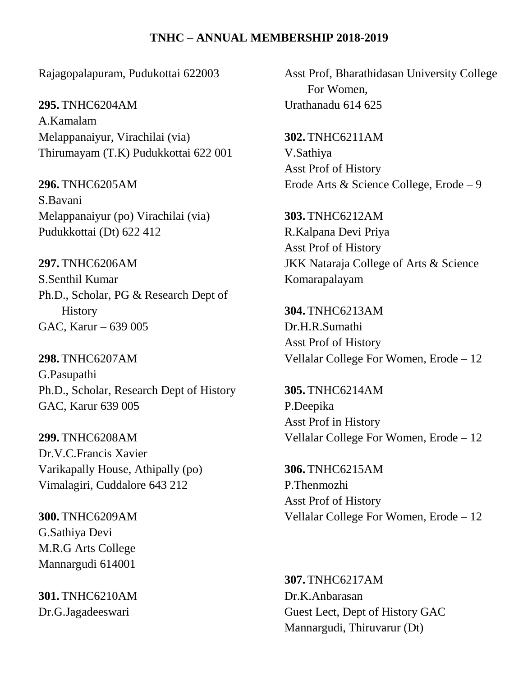Rajagopalapuram, Pudukottai 622003

**295.** TNHC6204AM A.Kamalam Melappanaiyur, Virachilai (via) Thirumayam (T.K) Pudukkottai 622 001

**296.** TNHC6205AM S.Bavani Melappanaiyur (po) Virachilai (via) Pudukkottai (Dt) 622 412

**297.** TNHC6206AM S.Senthil Kumar Ph.D., Scholar, PG & Research Dept of **History** GAC, Karur – 639 005

**298.** TNHC6207AM G.Pasupathi Ph.D., Scholar, Research Dept of History GAC, Karur 639 005

**299.** TNHC6208AM Dr.V.C.Francis Xavier Varikapally House, Athipally (po) Vimalagiri, Cuddalore 643 212

**300.** TNHC6209AM G.Sathiya Devi M.R.G Arts College Mannargudi 614001

**301.** TNHC6210AM Dr.G.Jagadeeswari

Asst Prof, Bharathidasan University College For Women, Urathanadu 614 625

**302.** TNHC6211AM V.Sathiya Asst Prof of History Erode Arts & Science College, Erode – 9

**303.** TNHC6212AM R.Kalpana Devi Priya Asst Prof of History JKK Nataraja College of Arts & Science Komarapalayam

**304.** TNHC6213AM Dr.H.R.Sumathi Asst Prof of History Vellalar College For Women, Erode – 12

**305.** TNHC6214AM P.Deepika Asst Prof in History Vellalar College For Women, Erode – 12

**306.** TNHC6215AM P.Thenmozhi Asst Prof of History Vellalar College For Women, Erode – 12

**307.** TNHC6217AM Dr.K.Anbarasan Guest Lect, Dept of History GAC Mannargudi, Thiruvarur (Dt)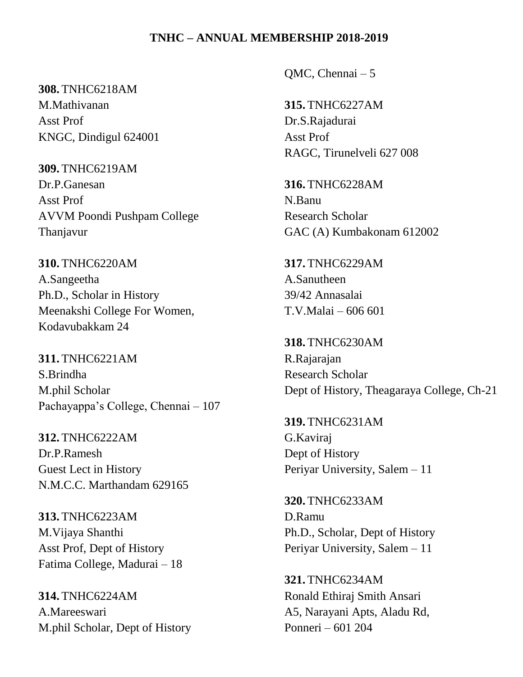## **308.** TNHC6218AM

M.Mathivanan Asst Prof KNGC, Dindigul 624001

**309.** TNHC6219AM Dr.P.Ganesan Asst Prof AVVM Poondi Pushpam College Thanjavur

**310.** TNHC6220AM A.Sangeetha Ph.D., Scholar in History Meenakshi College For Women, Kodavubakkam 24

**311.** TNHC6221AM S.Brindha M.phil Scholar Pachayappa's College, Chennai – 107

**312.** TNHC6222AM Dr.P.Ramesh Guest Lect in History N.M.C.C. Marthandam 629165

**313.** TNHC6223AM M.Vijaya Shanthi Asst Prof, Dept of History Fatima College, Madurai – 18

**314.** TNHC6224AM A.Mareeswari M.phil Scholar, Dept of History QMC, Chennai – 5

**315.** TNHC6227AM Dr.S.Rajadurai Asst Prof RAGC, Tirunelveli 627 008

**316.** TNHC6228AM N.Banu Research Scholar GAC (A) Kumbakonam 612002

**317.** TNHC6229AM A.Sanutheen 39/42 Annasalai T.V.Malai – 606 601

**318.** TNHC6230AM R.Rajarajan Research Scholar Dept of History, Theagaraya College, Ch-21

**319.** TNHC6231AM G.Kaviraj Dept of History Periyar University, Salem – 11

**320.** TNHC6233AM D.Ramu Ph.D., Scholar, Dept of History Periyar University, Salem – 11

**321.** TNHC6234AM Ronald Ethiraj Smith Ansari A5, Narayani Apts, Aladu Rd, Ponneri – 601 204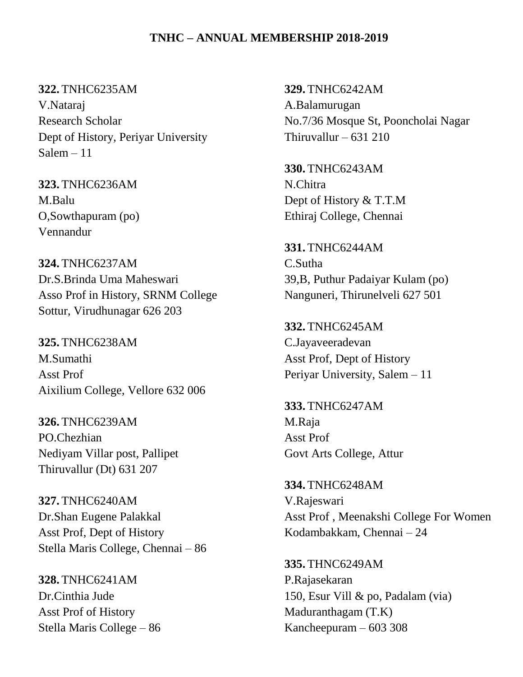**322.** TNHC6235AM V.Nataraj Research Scholar Dept of History, Periyar University Salem – 11

**323.** TNHC6236AM M.Balu O,Sowthapuram (po) Vennandur

**324.** TNHC6237AM Dr.S.Brinda Uma Maheswari Asso Prof in History, SRNM College Sottur, Virudhunagar 626 203

**325.** TNHC6238AM M.Sumathi Asst Prof Aixilium College, Vellore 632 006

**326.** TNHC6239AM PO.Chezhian Nediyam Villar post, Pallipet Thiruvallur (Dt) 631 207

**327.** TNHC6240AM Dr.Shan Eugene Palakkal Asst Prof, Dept of History Stella Maris College, Chennai – 86

**328.** TNHC6241AM Dr.Cinthia Jude Asst Prof of History Stella Maris College – 86 **329.** TNHC6242AM A.Balamurugan No.7/36 Mosque St, Pooncholai Nagar Thiruvallur –  $631$  210

**330.** TNHC6243AM N.Chitra Dept of History & T.T.M Ethiraj College, Chennai

**331.** TNHC6244AM C.Sutha 39,B, Puthur Padaiyar Kulam (po) Nanguneri, Thirunelveli 627 501

**332.** TNHC6245AM C.Jayaveeradevan Asst Prof, Dept of History Periyar University, Salem – 11

**333.** TNHC6247AM M.Raja Asst Prof Govt Arts College, Attur

**334.** TNHC6248AM V.Rajeswari Asst Prof , Meenakshi College For Women Kodambakkam, Chennai – 24

**335.** THNC6249AM P.Rajasekaran 150, Esur Vill & po, Padalam (via) Maduranthagam (T.K) Kancheepuram – 603 308